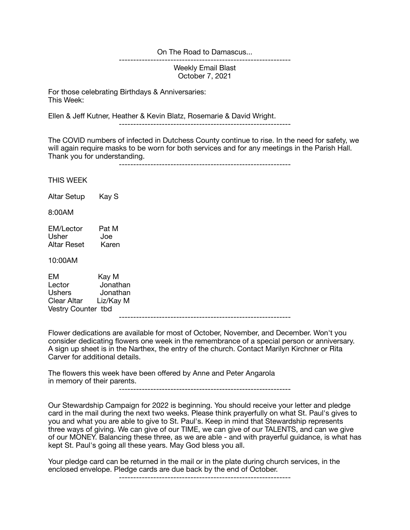On The Road to Damascus...

------------------------------------------------------------ Weekly Email Blast October 7, 2021

For those celebrating Birthdays & Anniversaries: This Week:

Ellen & Jeff Kutner, Heather & Kevin Blatz, Rosemarie & David Wright.

------------------------------------------------------------

The COVID numbers of infected in Dutchess County continue to rise. In the need for safety, we will again require masks to be worn for both services and for any meetings in the Parish Hall. Thank you for understanding. ------------------------------------------------------------

THIS WEEK

Altar Setup Kay S

8:00AM

EM/Lector Pat M<br>Usher Joe Usher Joe<br>Altar Reset Karen Altar Reset

10:00AM

EM Kay M Lector Jonathan Ushers Jonathan Clear Altar Liz/Kay M Vestry Counter tbd

Flower dedications are available for most of October, November, and December. Won't you consider dedicating flowers one week in the remembrance of a special person or anniversary. A sign up sheet is in the Narthex, the entry of the church. Contact Marilyn Kirchner or Rita Carver for additional details.

------------------------------------------------------------

The flowers this week have been offered by Anne and Peter Angarola in memory of their parents.

------------------------------------------------------------

Our Stewardship Campaign for 2022 is beginning. You should receive your letter and pledge card in the mail during the next two weeks. Please think prayerfully on what St. Paul's gives to you and what you are able to give to St. Paul's. Keep in mind that Stewardship represents three ways of giving. We can give of our TIME, we can give of our TALENTS, and can we give of our MONEY. Balancing these three, as we are able - and with prayerful guidance, is what has kept St. Paul's going all these years. May God bless you all.

Your pledge card can be returned in the mail or in the plate during church services, in the enclosed envelope. Pledge cards are due back by the end of October.

------------------------------------------------------------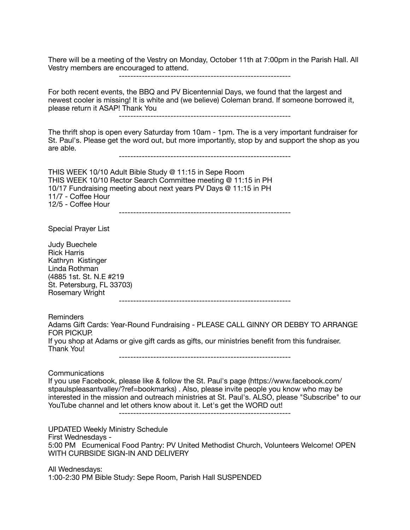There will be a meeting of the Vestry on Monday, October 11th at 7:00pm in the Parish Hall. All Vestry members are encouraged to attend.

------------------------------------------------------------

For both recent events, the BBQ and PV Bicentennial Days, we found that the largest and newest cooler is missing! It is white and (we believe) Coleman brand. If someone borrowed it, please return it ASAP! Thank You

------------------------------------------------------------

The thrift shop is open every Saturday from 10am - 1pm. The is a very important fundraiser for St. Paul's. Please get the word out, but more importantly, stop by and support the shop as you are able.

------------------------------------------------------------

THIS WEEK 10/10 Adult Bible Study @ 11:15 in Sepe Room THIS WEEK 10/10 Rector Search Committee meeting @ 11:15 in PH 10/17 Fundraising meeting about next years PV Days @ 11:15 in PH 11/7 - Coffee Hour 12/5 - Coffee Hour ------------------------------------------------------------

Special Prayer List

Judy Buechele Rick Harris Kathryn Kistinger Linda Rothman (4885 1st. St. N.E #219 St. Petersburg, FL 33703) Rosemary Wright ------------------------------------------------------------ Reminders Adams Gift Cards: Year-Round Fundraising - PLEASE CALL GINNY OR DEBBY TO ARRANGE FOR PICKUP. If you shop at Adams or give gift cards as gifts, our ministries benefit from this fundraiser. Thank You! ------------------------------------------------------------ Communications If you use Facebook, please like & follow the St. Paul's page (https://www.facebook.com/ stpaulspleasantvalley/?ref=bookmarks) . Also, please invite people you know who may be interested in the mission and outreach ministries at St. Paul's. ALSO, please "Subscribe" to our YouTube channel and let others know about it. Let's get the WORD out! ------------------------------------------------------------

UPDATED Weekly Ministry Schedule First Wednesdays - 5:00 PM Ecumenical Food Pantry: PV United Methodist Church, Volunteers Welcome! OPEN WITH CURBSIDE SIGN-IN AND DELIVERY

All Wednesdays: 1:00-2:30 PM Bible Study: Sepe Room, Parish Hall SUSPENDED